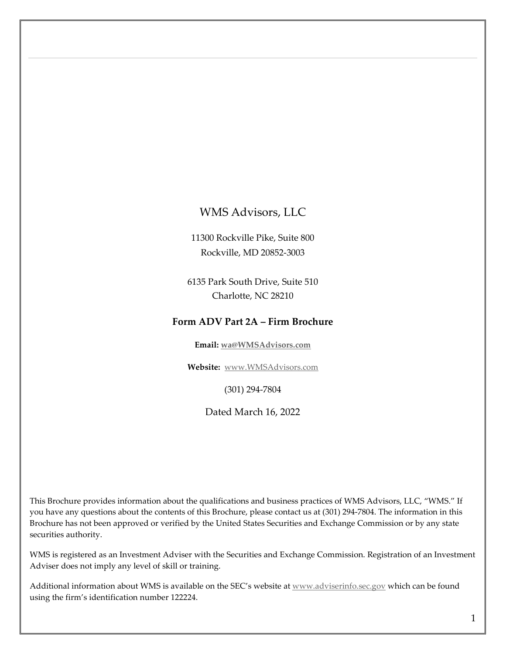### <span id="page-0-0"></span>WMS Advisors, LLC

11300 Rockville Pike, Suite 800 Rockville, MD 20852-3003

6135 Park South Drive, Suite 510 Charlotte, NC 28210

#### **Form ADV Part 2A – Firm Brochure**

**Email: [wa@WMSAdvisors.com](mailto:wa@WMSAdvisors.com)**

**Website:** [www.WMSAdvisors.com](http://www.wmsadvisors.com/)

(301) 294-7804

Dated March 16, 2022

This Brochure provides information about the qualifications and business practices of WMS Advisors, LLC, "WMS." If you have any questions about the contents of this Brochure, please contact us at (301) 294-7804. The information in this Brochure has not been approved or verified by the United States Securities and Exchange Commission or by any state securities authority.

WMS is registered as an Investment Adviser with the Securities and Exchange Commission. Registration of an Investment Adviser does not imply any level of skill or training.

Additional information about WMS is available on the SEC's website at [www.adviserinfo.sec.gov](http://www.adviserinfo.sec.gov/) which can be found using the firm's identification number 122224.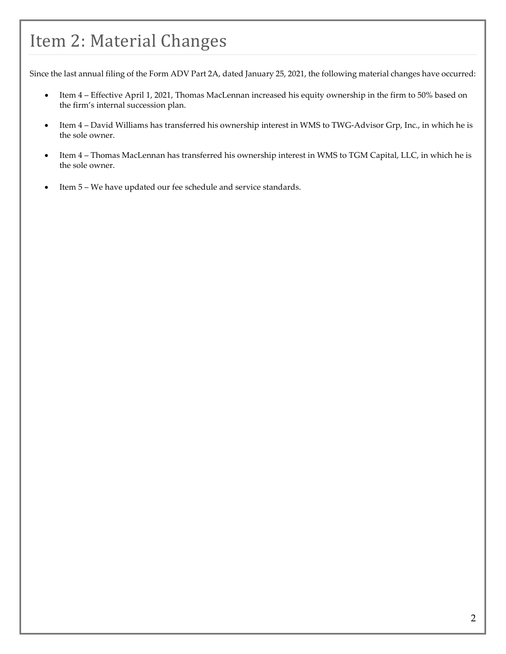### <span id="page-1-0"></span>Item 2: Material Changes

Since the last annual filing of the Form ADV Part 2A, dated January 25, 2021, the following material changes have occurred:

- Item 4 Effective April 1, 2021, Thomas MacLennan increased his equity ownership in the firm to 50% based on the firm's internal succession plan.
- Item 4 David Williams has transferred his ownership interest in WMS to TWG-Advisor Grp, Inc., in which he is the sole owner.
- Item 4 Thomas MacLennan has transferred his ownership interest in WMS to TGM Capital, LLC, in which he is the sole owner.
- Item 5 We have updated our fee schedule and service standards.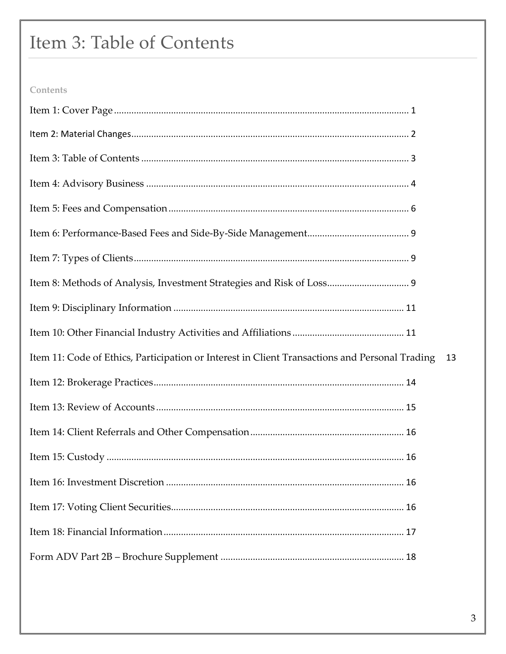### <span id="page-2-0"></span>Item 3: Table of Contents

### Contents

| Item 11: Code of Ethics, Participation or Interest in Client Transactions and Personal Trading | 13 |
|------------------------------------------------------------------------------------------------|----|
|                                                                                                |    |
|                                                                                                |    |
|                                                                                                |    |
|                                                                                                |    |
|                                                                                                |    |
|                                                                                                |    |
|                                                                                                |    |
|                                                                                                |    |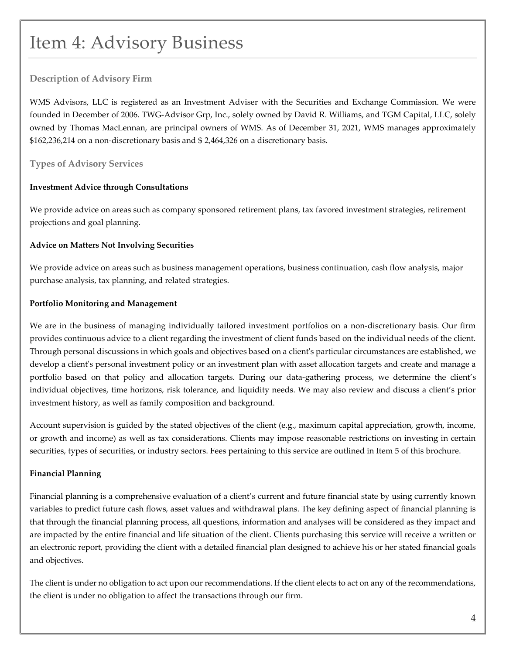### <span id="page-3-0"></span>Item 4: Advisory Business

#### **Description of Advisory Firm**

WMS Advisors, LLC is registered as an Investment Adviser with the Securities and Exchange Commission. We were founded in December of 2006. TWG-Advisor Grp, Inc., solely owned by David R. Williams, and TGM Capital, LLC, solely owned by Thomas MacLennan, are principal owners of WMS. As of December 31, 2021, WMS manages approximately \$162,236,214 on a non-discretionary basis and \$ 2,464,326 on a discretionary basis.

#### **Types of Advisory Services**

#### **Investment Advice through Consultations**

We provide advice on areas such as company sponsored retirement plans, tax favored investment strategies, retirement projections and goal planning.

#### **Advice on Matters Not Involving Securities**

We provide advice on areas such as business management operations, business continuation, cash flow analysis, major purchase analysis, tax planning, and related strategies.

#### **Portfolio Monitoring and Management**

We are in the business of managing individually tailored investment portfolios on a non-discretionary basis. Our firm provides continuous advice to a client regarding the investment of client funds based on the individual needs of the client. Through personal discussions in which goals and objectives based on a client's particular circumstances are established, we develop a client's personal investment policy or an investment plan with asset allocation targets and create and manage a portfolio based on that policy and allocation targets. During our data-gathering process, we determine the client's individual objectives, time horizons, risk tolerance, and liquidity needs. We may also review and discuss a client's prior investment history, as well as family composition and background.

Account supervision is guided by the stated objectives of the client (e.g., maximum capital appreciation, growth, income, or growth and income) as well as tax considerations. Clients may impose reasonable restrictions on investing in certain securities, types of securities, or industry sectors. Fees pertaining to this service are outlined in Item 5 of this brochure.

#### **Financial Planning**

Financial planning is a comprehensive evaluation of a client's current and future financial state by using currently known variables to predict future cash flows, asset values and withdrawal plans. The key defining aspect of financial planning is that through the financial planning process, all questions, information and analyses will be considered as they impact and are impacted by the entire financial and life situation of the client. Clients purchasing this service will receive a written or an electronic report, providing the client with a detailed financial plan designed to achieve his or her stated financial goals and objectives.

The client is under no obligation to act upon our recommendations. If the client elects to act on any of the recommendations, the client is under no obligation to affect the transactions through our firm.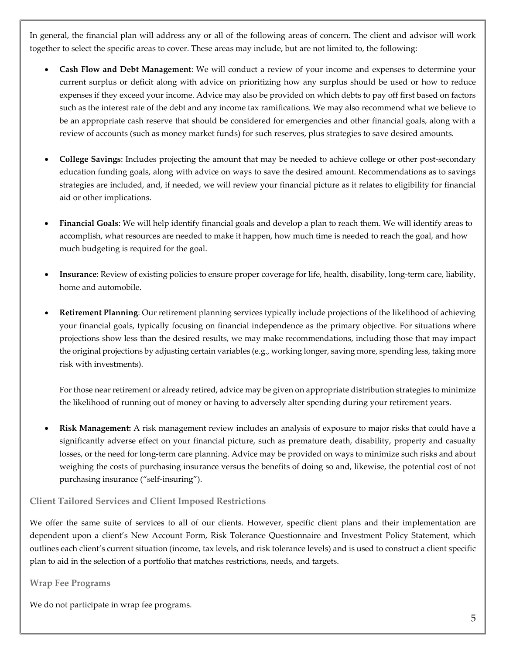In general, the financial plan will address any or all of the following areas of concern. The client and advisor will work together to select the specific areas to cover. These areas may include, but are not limited to, the following:

- **Cash Flow and Debt Management**: We will conduct a review of your income and expenses to determine your current surplus or deficit along with advice on prioritizing how any surplus should be used or how to reduce expenses if they exceed your income. Advice may also be provided on which debts to pay off first based on factors such as the interest rate of the debt and any income tax ramifications. We may also recommend what we believe to be an appropriate cash reserve that should be considered for emergencies and other financial goals, along with a review of accounts (such as money market funds) for such reserves, plus strategies to save desired amounts.
- **College Savings**: Includes projecting the amount that may be needed to achieve college or other post-secondary education funding goals, along with advice on ways to save the desired amount. Recommendations as to savings strategies are included, and, if needed, we will review your financial picture as it relates to eligibility for financial aid or other implications.
- **Financial Goals**: We will help identify financial goals and develop a plan to reach them. We will identify areas to accomplish, what resources are needed to make it happen, how much time is needed to reach the goal, and how much budgeting is required for the goal.
- **Insurance**: Review of existing policies to ensure proper coverage for life, health, disability, long-term care, liability, home and automobile.
- **Retirement Planning**: Our retirement planning services typically include projections of the likelihood of achieving your financial goals, typically focusing on financial independence as the primary objective. For situations where projections show less than the desired results, we may make recommendations, including those that may impact the original projections by adjusting certain variables (e.g., working longer, saving more, spending less, taking more risk with investments).

For those near retirement or already retired, advice may be given on appropriate distribution strategies to minimize the likelihood of running out of money or having to adversely alter spending during your retirement years.

• **Risk Management:** A risk management review includes an analysis of exposure to major risks that could have a significantly adverse effect on your financial picture, such as premature death, disability, property and casualty losses, or the need for long-term care planning. Advice may be provided on ways to minimize such risks and about weighing the costs of purchasing insurance versus the benefits of doing so and, likewise, the potential cost of not purchasing insurance ("self-insuring").

#### **Client Tailored Services and Client Imposed Restrictions**

We offer the same suite of services to all of our clients. However, specific client plans and their implementation are dependent upon a client's New Account Form, Risk Tolerance Questionnaire and Investment Policy Statement, which outlines each client's current situation (income, tax levels, and risk tolerance levels) and is used to construct a client specific plan to aid in the selection of a portfolio that matches restrictions, needs, and targets.

#### **Wrap Fee Programs**

We do not participate in wrap fee programs.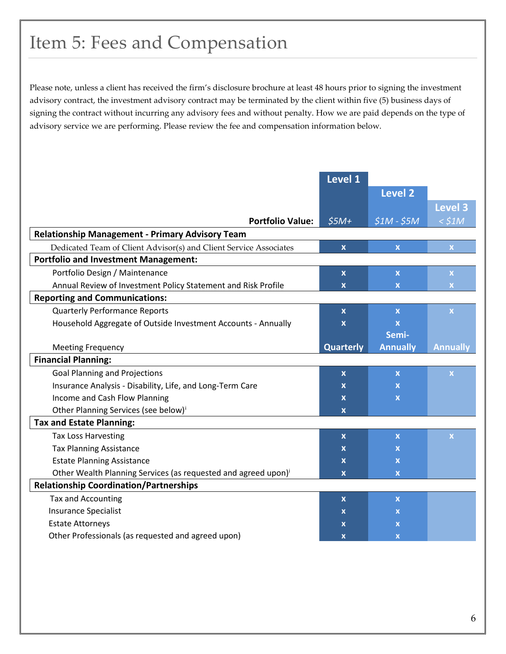### <span id="page-5-0"></span>Item 5: Fees and Compensation

Please note, unless a client has received the firm's disclosure brochure at least 48 hours prior to signing the investment advisory contract, the investment advisory contract may be terminated by the client within five (5) business days of signing the contract without incurring any advisory fees and without penalty. How we are paid depends on the type of advisory service we are performing. Please review the fee and compensation information below.

|                                                                            | <b>Level 1</b>            |                           |                         |
|----------------------------------------------------------------------------|---------------------------|---------------------------|-------------------------|
|                                                                            |                           | <b>Level 2</b>            |                         |
|                                                                            |                           |                           | Level 3                 |
| <b>Portfolio Value:</b>                                                    | $$5M+$                    | $$1M - $5M$               | $<$ \$1M                |
| <b>Relationship Management - Primary Advisory Team</b>                     |                           |                           |                         |
| Dedicated Team of Client Advisor(s) and Client Service Associates          | $\pmb{\chi}$              | $\mathbf x$               | $\bar{\mathbf{X}}$      |
| <b>Portfolio and Investment Management:</b>                                |                           |                           |                         |
| Portfolio Design / Maintenance                                             | $\pmb{\chi}$              | $\mathbf x$               | $\mathbf X$             |
| Annual Review of Investment Policy Statement and Risk Profile              | $\mathbf x$               | X                         | $\mathbf x$             |
| <b>Reporting and Communications:</b>                                       |                           |                           |                         |
| <b>Quarterly Performance Reports</b>                                       | X                         | $\mathbf x$               | $\mathbf x$             |
| Household Aggregate of Outside Investment Accounts - Annually              | $\mathbf x$               | $\boldsymbol{\mathsf{x}}$ |                         |
|                                                                            |                           | Semi-                     |                         |
| <b>Meeting Frequency</b>                                                   | <b>Quarterly</b>          | <b>Annually</b>           | <b>Annually</b>         |
| <b>Financial Planning:</b>                                                 |                           |                           |                         |
| <b>Goal Planning and Projections</b>                                       | $\boldsymbol{\mathsf{x}}$ | $\mathbf{x}$              | $\overline{\mathbf{X}}$ |
| Insurance Analysis - Disability, Life, and Long-Term Care                  | $\mathbf x$               | $\mathbf x$               |                         |
| Income and Cash Flow Planning                                              | $\boldsymbol{\mathsf{x}}$ | $\mathbf x$               |                         |
| Other Planning Services (see below) <sup>i</sup>                           | $\boldsymbol{\mathsf{x}}$ |                           |                         |
| <b>Tax and Estate Planning:</b>                                            |                           |                           |                         |
| <b>Tax Loss Harvesting</b>                                                 | $\boldsymbol{\mathsf{x}}$ | $\mathbf x$               | $\mathbf x$             |
| <b>Tax Planning Assistance</b>                                             | $\boldsymbol{\mathsf{x}}$ | $\mathbf x$               |                         |
| <b>Estate Planning Assistance</b>                                          |                           |                           |                         |
|                                                                            | $\boldsymbol{\mathsf{x}}$ | $\mathbf x$               |                         |
| Other Wealth Planning Services (as requested and agreed upon) <sup>i</sup> | $\boldsymbol{\mathsf{x}}$ | $\mathbf x$               |                         |
| <b>Relationship Coordination/Partnerships</b>                              |                           |                           |                         |
| Tax and Accounting                                                         | X                         | $\mathbf x$               |                         |
| <b>Insurance Specialist</b>                                                | X                         | X                         |                         |
| <b>Estate Attorneys</b>                                                    | X                         | X                         |                         |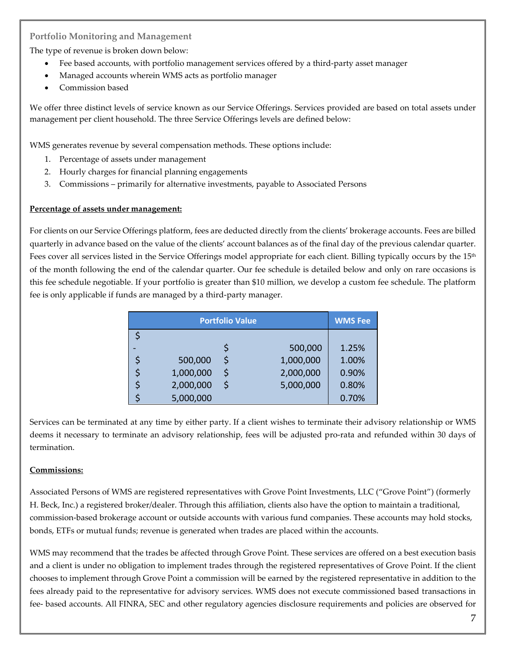#### **Portfolio Monitoring and Management**

The type of revenue is broken down below:

- Fee based accounts, with portfolio management services offered by a third-party asset manager
- Managed accounts wherein WMS acts as portfolio manager
- Commission based

We offer three distinct levels of service known as our Service Offerings. Services provided are based on total assets under management per client household. The three Service Offerings levels are defined below:

WMS generates revenue by several compensation methods. These options include:

- 1. Percentage of assets under management
- 2. Hourly charges for financial planning engagements
- 3. Commissions primarily for alternative investments, payable to Associated Persons

#### **Percentage of assets under management:**

For clients on our Service Offerings platform, fees are deducted directly from the clients' brokerage accounts. Fees are billed quarterly in advance based on the value of the clients' account balances as of the final day of the previous calendar quarter. Fees cover all services listed in the Service Offerings model appropriate for each client. Billing typically occurs by the 15<sup>th</sup> of the month following the end of the calendar quarter. Our fee schedule is detailed below and only on rare occasions is this fee schedule negotiable. If your portfolio is greater than \$10 million, we develop a custom fee schedule. The platform fee is only applicable if funds are managed by a third-party manager.

|           | <b>Portfolio Value</b> |           | <b>WMS Fee</b> |
|-----------|------------------------|-----------|----------------|
|           |                        |           |                |
|           |                        | 500,000   | 1.25%          |
| 500,000   | Ś                      | 1,000,000 | 1.00%          |
| 1,000,000 | \$                     | 2,000,000 | 0.90%          |
| 2,000,000 | Ś                      | 5,000,000 | 0.80%          |
| 5,000,000 |                        |           | 0.70%          |

Services can be terminated at any time by either party. If a client wishes to terminate their advisory relationship or WMS deems it necessary to terminate an advisory relationship, fees will be adjusted pro-rata and refunded within 30 days of termination.

#### **Commissions:**

Associated Persons of WMS are registered representatives with Grove Point Investments, LLC ("Grove Point") (formerly H. Beck, Inc.) a registered broker/dealer. Through this affiliation, clients also have the option to maintain a traditional, commission-based brokerage account or outside accounts with various fund companies. These accounts may hold stocks, bonds, ETFs or mutual funds; revenue is generated when trades are placed within the accounts.

WMS may recommend that the trades be affected through Grove Point. These services are offered on a best execution basis and a client is under no obligation to implement trades through the registered representatives of Grove Point. If the client chooses to implement through Grove Point a commission will be earned by the registered representative in addition to the fees already paid to the representative for advisory services. WMS does not execute commissioned based transactions in fee- based accounts. All FINRA, SEC and other regulatory agencies disclosure requirements and policies are observed for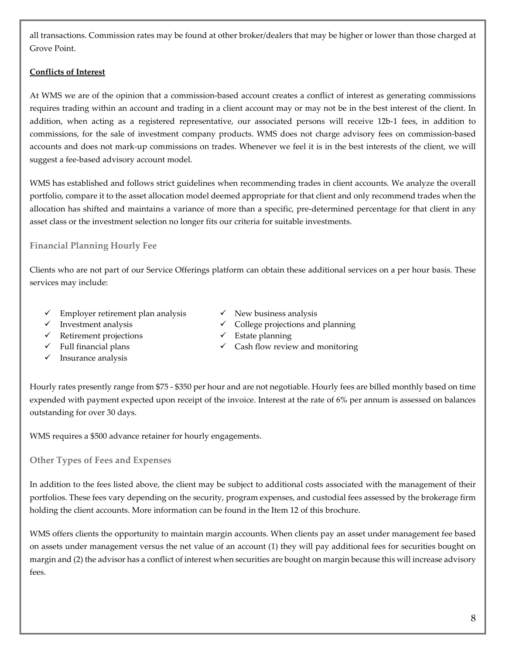all transactions. Commission rates may be found at other broker/dealers that may be higher or lower than those charged at Grove Point.

#### **Conflicts of Interest**

At WMS we are of the opinion that a commission-based account creates a conflict of interest as generating commissions requires trading within an account and trading in a client account may or may not be in the best interest of the client. In addition, when acting as a registered representative, our associated persons will receive 12b-1 fees, in addition to commissions, for the sale of investment company products. WMS does not charge advisory fees on commission-based accounts and does not mark-up commissions on trades. Whenever we feel it is in the best interests of the client, we will suggest a fee-based advisory account model.

WMS has established and follows strict guidelines when recommending trades in client accounts. We analyze the overall portfolio, compare it to the asset allocation model deemed appropriate for that client and only recommend trades when the allocation has shifted and maintains a variance of more than a specific, pre-determined percentage for that client in any asset class or the investment selection no longer fits our criteria for suitable investments.

#### **Financial Planning Hourly Fee**

Clients who are not part of our Service Offerings platform can obtain these additional services on a per hour basis. These services may include:

- $\checkmark$  Employer retirement plan analysis  $\checkmark$  New business analysis
- 
- $\checkmark$  Retirement projections  $\checkmark$  Estate planning
- 
- $\checkmark$  Insurance analysis
- 
- $\checkmark$  Investment analysis  $\checkmark$  College projections and planning
	-
- $\checkmark$  Full financial plans  $\checkmark$  Cash flow review and monitoring

Hourly rates presently range from \$75 - \$350 per hour and are not negotiable. Hourly fees are billed monthly based on time expended with payment expected upon receipt of the invoice. Interest at the rate of 6% per annum is assessed on balances outstanding for over 30 days.

WMS requires a \$500 advance retainer for hourly engagements.

**Other Types of Fees and Expenses**

In addition to the fees listed above, the client may be subject to additional costs associated with the management of their portfolios. These fees vary depending on the security, program expenses, and custodial fees assessed by the brokerage firm holding the client accounts. More information can be found in the Item 12 of this brochure.

WMS offers clients the opportunity to maintain margin accounts. When clients pay an asset under management fee based on assets under management versus the net value of an account (1) they will pay additional fees for securities bought on margin and (2) the advisor has a conflict of interest when securities are bought on margin because this will increase advisory fees.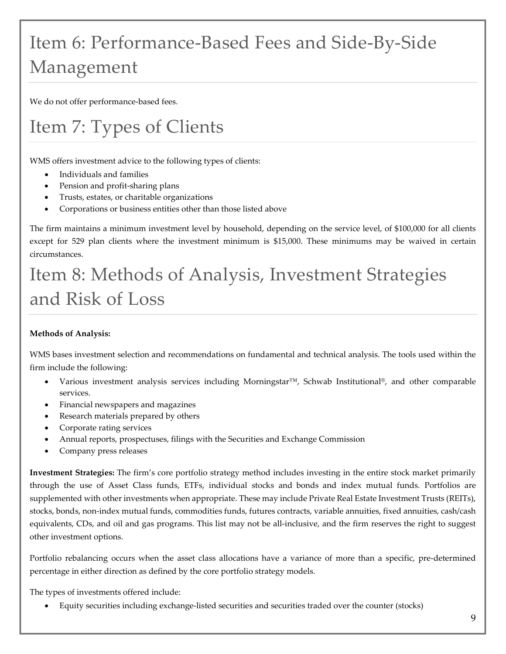# <span id="page-8-0"></span>Item 6: Performance-Based Fees and Side-By-Side Management

We do not offer performance-based fees.

### <span id="page-8-1"></span>Item 7: Types of Clients

WMS offers investment advice to the following types of clients:

- Individuals and families
- Pension and profit-sharing plans
- Trusts, estates, or charitable organizations
- Corporations or business entities other than those listed above

The firm maintains a minimum investment level by household, depending on the service level, of \$100,000 for all clients except for 529 plan clients where the investment minimum is \$15,000. These minimums may be waived in certain circumstances.

### <span id="page-8-2"></span>Item 8: Methods of Analysis, Investment Strategies and Risk of Loss

#### **Methods of Analysis:**

WMS bases investment selection and recommendations on fundamental and technical analysis. The tools used within the firm include the following:

- Various investment analysis services including Morningstar™, Schwab Institutional®, and other comparable services.
- Financial newspapers and magazines
- Research materials prepared by others
- Corporate rating services
- Annual reports, prospectuses, filings with the Securities and Exchange Commission
- Company press releases

**Investment Strategies:** The firm's core portfolio strategy method includes investing in the entire stock market primarily through the use of Asset Class funds, ETFs, individual stocks and bonds and index mutual funds. Portfolios are supplemented with other investments when appropriate. These may include Private Real Estate Investment Trusts (REITs), stocks, bonds, non-index mutual funds, commodities funds, futures contracts, variable annuities, fixed annuities, cash/cash equivalents, CDs, and oil and gas programs. This list may not be all-inclusive, and the firm reserves the right to suggest other investment options.

Portfolio rebalancing occurs when the asset class allocations have a variance of more than a specific, pre-determined percentage in either direction as defined by the core portfolio strategy models.

The types of investments offered include:

• Equity securities including exchange-listed securities and securities traded over the counter (stocks)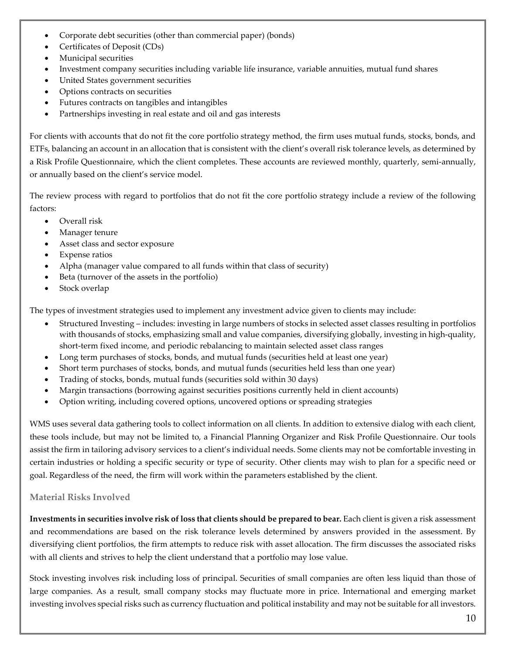- Corporate debt securities (other than commercial paper) (bonds)
- Certificates of Deposit (CDs)
- Municipal securities
- Investment company securities including variable life insurance, variable annuities, mutual fund shares
- United States government securities
- Options contracts on securities
- Futures contracts on tangibles and intangibles
- Partnerships investing in real estate and oil and gas interests

For clients with accounts that do not fit the core portfolio strategy method, the firm uses mutual funds, stocks, bonds, and ETFs, balancing an account in an allocation that is consistent with the client's overall risk tolerance levels, as determined by a Risk Profile Questionnaire, which the client completes. These accounts are reviewed monthly, quarterly, semi-annually, or annually based on the client's service model.

The review process with regard to portfolios that do not fit the core portfolio strategy include a review of the following factors:

- Overall risk
- Manager tenure
- Asset class and sector exposure
- Expense ratios
- Alpha (manager value compared to all funds within that class of security)
- Beta (turnover of the assets in the portfolio)
- Stock overlap

The types of investment strategies used to implement any investment advice given to clients may include:

- Structured Investing includes: investing in large numbers of stocks in selected asset classes resulting in portfolios with thousands of stocks, emphasizing small and value companies, diversifying globally, investing in high-quality, short-term fixed income, and periodic rebalancing to maintain selected asset class ranges
- Long term purchases of stocks, bonds, and mutual funds (securities held at least one year)
- Short term purchases of stocks, bonds, and mutual funds (securities held less than one year)
- Trading of stocks, bonds, mutual funds (securities sold within 30 days)
- Margin transactions (borrowing against securities positions currently held in client accounts)
- Option writing, including covered options, uncovered options or spreading strategies

WMS uses several data gathering tools to collect information on all clients. In addition to extensive dialog with each client, these tools include, but may not be limited to, a Financial Planning Organizer and Risk Profile Questionnaire. Our tools assist the firm in tailoring advisory services to a client's individual needs. Some clients may not be comfortable investing in certain industries or holding a specific security or type of security. Other clients may wish to plan for a specific need or goal. Regardless of the need, the firm will work within the parameters established by the client.

#### **Material Risks Involved**

**Investments in securities involve risk of loss that clients should be prepared to bear.** Each client is given a risk assessment and recommendations are based on the risk tolerance levels determined by answers provided in the assessment. By diversifying client portfolios, the firm attempts to reduce risk with asset allocation. The firm discusses the associated risks with all clients and strives to help the client understand that a portfolio may lose value.

Stock investing involves risk including loss of principal. Securities of small companies are often less liquid than those of large companies. As a result, small company stocks may fluctuate more in price. International and emerging market investing involves special risks such as currency fluctuation and political instability and may not be suitable for all investors.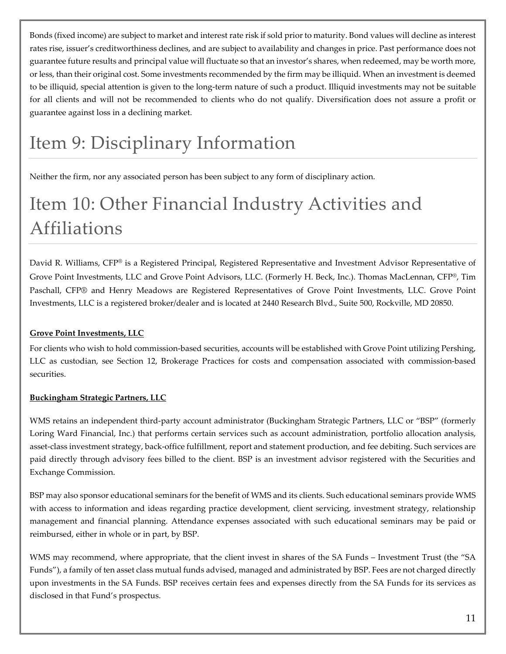Bonds (fixed income) are subject to market and interest rate risk if sold prior to maturity. Bond values will decline as interest rates rise, issuer's creditworthiness declines, and are subject to availability and changes in price. Past performance does not guarantee future results and principal value will fluctuate so that an investor's shares, when redeemed, may be worth more, or less, than their original cost. Some investments recommended by the firm may be illiquid. When an investment is deemed to be illiquid, special attention is given to the long-term nature of such a product. Illiquid investments may not be suitable for all clients and will not be recommended to clients who do not qualify. Diversification does not assure a profit or guarantee against loss in a declining market.

### <span id="page-10-0"></span>Item 9: Disciplinary Information

Neither the firm, nor any associated person has been subject to any form of disciplinary action.

# <span id="page-10-1"></span>Item 10: Other Financial Industry Activities and Affiliations

David R. Williams, CFP® is a Registered Principal, Registered Representative and Investment Advisor Representative of Grove Point Investments, LLC and Grove Point Advisors, LLC. (Formerly H. Beck, Inc.). Thomas MacLennan, CFP®, Tim Paschall, CFP® and Henry Meadows are Registered Representatives of Grove Point Investments, LLC. Grove Point Investments, LLC is a registered broker/dealer and is located at 2440 Research Blvd., Suite 500, Rockville, MD 20850.

#### **Grove Point Investments, LLC**

For clients who wish to hold commission-based securities, accounts will be established with Grove Point utilizing Pershing, LLC as custodian, see Section 12, Brokerage Practices for costs and compensation associated with commission-based securities.

#### **Buckingham Strategic Partners, LLC**

WMS retains an independent third-party account administrator (Buckingham Strategic Partners, LLC or "BSP" (formerly Loring Ward Financial, Inc.) that performs certain services such as account administration, portfolio allocation analysis, asset-class investment strategy, back-office fulfillment, report and statement production, and fee debiting. Such services are paid directly through advisory fees billed to the client. BSP is an investment advisor registered with the Securities and Exchange Commission.

BSP may also sponsor educational seminars for the benefit of WMS and its clients. Such educational seminars provide WMS with access to information and ideas regarding practice development, client servicing, investment strategy, relationship management and financial planning. Attendance expenses associated with such educational seminars may be paid or reimbursed, either in whole or in part, by BSP.

WMS may recommend, where appropriate, that the client invest in shares of the SA Funds – Investment Trust (the "SA Funds"), a family of ten asset class mutual funds advised, managed and administrated by BSP. Fees are not charged directly upon investments in the SA Funds. BSP receives certain fees and expenses directly from the SA Funds for its services as disclosed in that Fund's prospectus.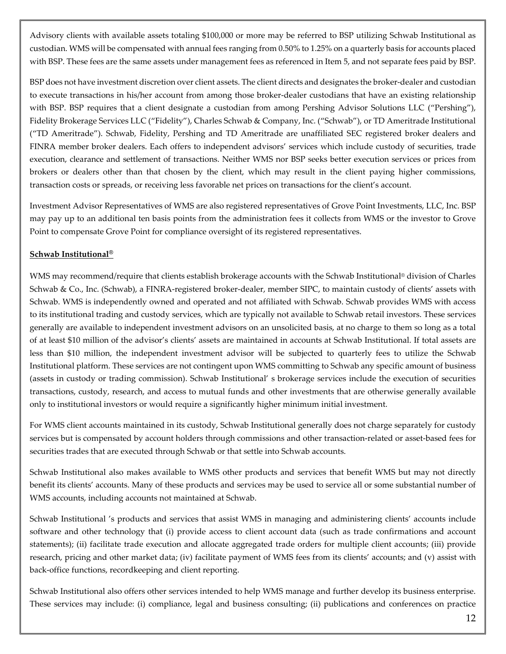Advisory clients with available assets totaling \$100,000 or more may be referred to BSP utilizing Schwab Institutional as custodian. WMS will be compensated with annual fees ranging from 0.50% to 1.25% on a quarterly basis for accounts placed with BSP. These fees are the same assets under management fees as referenced in Item 5, and not separate fees paid by BSP.

BSP does not have investment discretion over client assets. The client directs and designates the broker-dealer and custodian to execute transactions in his/her account from among those broker-dealer custodians that have an existing relationship with BSP. BSP requires that a client designate a custodian from among Pershing Advisor Solutions LLC ("Pershing"), Fidelity Brokerage Services LLC ("Fidelity"), Charles Schwab & Company, Inc. ("Schwab"), or TD Ameritrade Institutional ("TD Ameritrade"). Schwab, Fidelity, Pershing and TD Ameritrade are unaffiliated SEC registered broker dealers and FINRA member broker dealers. Each offers to independent advisors' services which include custody of securities, trade execution, clearance and settlement of transactions. Neither WMS nor BSP seeks better execution services or prices from brokers or dealers other than that chosen by the client, which may result in the client paying higher commissions, transaction costs or spreads, or receiving less favorable net prices on transactions for the client's account.

Investment Advisor Representatives of WMS are also registered representatives of Grove Point Investments, LLC, Inc. BSP may pay up to an additional ten basis points from the administration fees it collects from WMS or the investor to Grove Point to compensate Grove Point for compliance oversight of its registered representatives.

#### **Schwab Institutional®**

WMS may recommend/require that clients establish brokerage accounts with the Schwab Institutional® division of Charles Schwab & Co., Inc. (Schwab), a FINRA-registered broker-dealer, member SIPC, to maintain custody of clients' assets with Schwab. WMS is independently owned and operated and not affiliated with Schwab. Schwab provides WMS with access to its institutional trading and custody services, which are typically not available to Schwab retail investors. These services generally are available to independent investment advisors on an unsolicited basis, at no charge to them so long as a total of at least \$10 million of the advisor's clients' assets are maintained in accounts at Schwab Institutional. If total assets are less than \$10 million, the independent investment advisor will be subjected to quarterly fees to utilize the Schwab Institutional platform. These services are not contingent upon WMS committing to Schwab any specific amount of business (assets in custody or trading commission). Schwab Institutional' s brokerage services include the execution of securities transactions, custody, research, and access to mutual funds and other investments that are otherwise generally available only to institutional investors or would require a significantly higher minimum initial investment.

For WMS client accounts maintained in its custody, Schwab Institutional generally does not charge separately for custody services but is compensated by account holders through commissions and other transaction-related or asset-based fees for securities trades that are executed through Schwab or that settle into Schwab accounts.

Schwab Institutional also makes available to WMS other products and services that benefit WMS but may not directly benefit its clients' accounts. Many of these products and services may be used to service all or some substantial number of WMS accounts, including accounts not maintained at Schwab.

Schwab Institutional 's products and services that assist WMS in managing and administering clients' accounts include software and other technology that (i) provide access to client account data (such as trade confirmations and account statements); (ii) facilitate trade execution and allocate aggregated trade orders for multiple client accounts; (iii) provide research, pricing and other market data; (iv) facilitate payment of WMS fees from its clients' accounts; and (v) assist with back-office functions, recordkeeping and client reporting.

Schwab Institutional also offers other services intended to help WMS manage and further develop its business enterprise. These services may include: (i) compliance, legal and business consulting; (ii) publications and conferences on practice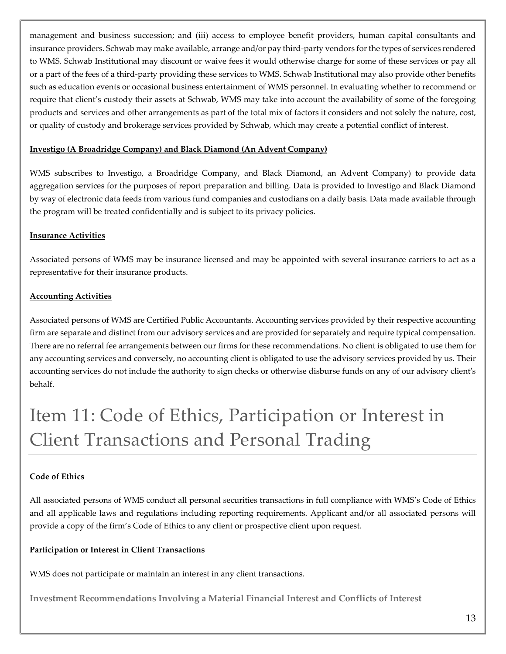management and business succession; and (iii) access to employee benefit providers, human capital consultants and insurance providers. Schwab may make available, arrange and/or pay third-party vendors for the types of services rendered to WMS. Schwab Institutional may discount or waive fees it would otherwise charge for some of these services or pay all or a part of the fees of a third-party providing these services to WMS. Schwab Institutional may also provide other benefits such as education events or occasional business entertainment of WMS personnel. In evaluating whether to recommend or require that client's custody their assets at Schwab, WMS may take into account the availability of some of the foregoing products and services and other arrangements as part of the total mix of factors it considers and not solely the nature, cost, or quality of custody and brokerage services provided by Schwab, which may create a potential conflict of interest.

#### **Investigo (A Broadridge Company) and Black Diamond (An Advent Company)**

WMS subscribes to Investigo, a Broadridge Company, and Black Diamond, an Advent Company) to provide data aggregation services for the purposes of report preparation and billing. Data is provided to Investigo and Black Diamond by way of electronic data feeds from various fund companies and custodians on a daily basis. Data made available through the program will be treated confidentially and is subject to its privacy policies.

#### **Insurance Activities**

Associated persons of WMS may be insurance licensed and may be appointed with several insurance carriers to act as a representative for their insurance products.

#### **Accounting Activities**

Associated persons of WMS are Certified Public Accountants. Accounting services provided by their respective accounting firm are separate and distinct from our advisory services and are provided for separately and require typical compensation. There are no referral fee arrangements between our firms for these recommendations. No client is obligated to use them for any accounting services and conversely, no accounting client is obligated to use the advisory services provided by us. Their accounting services do not include the authority to sign checks or otherwise disburse funds on any of our advisory client's behalf.

# <span id="page-12-0"></span>Item 11: Code of Ethics, Participation or Interest in Client Transactions and Personal Trading

#### **Code of Ethics**

All associated persons of WMS conduct all personal securities transactions in full compliance with WMS's Code of Ethics and all applicable laws and regulations including reporting requirements. Applicant and/or all associated persons will provide a copy of the firm's Code of Ethics to any client or prospective client upon request.

#### **Participation or Interest in Client Transactions**

WMS does not participate or maintain an interest in any client transactions.

**Investment Recommendations Involving a Material Financial Interest and Conflicts of Interest**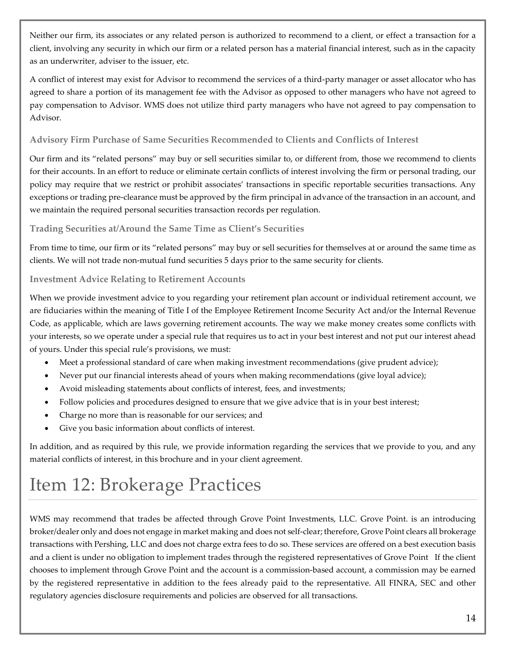Neither our firm, its associates or any related person is authorized to recommend to a client, or effect a transaction for a client, involving any security in which our firm or a related person has a material financial interest, such as in the capacity as an underwriter, adviser to the issuer, etc.

A conflict of interest may exist for Advisor to recommend the services of a third-party manager or asset allocator who has agreed to share a portion of its management fee with the Advisor as opposed to other managers who have not agreed to pay compensation to Advisor. WMS does not utilize third party managers who have not agreed to pay compensation to Advisor.

#### **Advisory Firm Purchase of Same Securities Recommended to Clients and Conflicts of Interest**

Our firm and its "related persons" may buy or sell securities similar to, or different from, those we recommend to clients for their accounts. In an effort to reduce or eliminate certain conflicts of interest involving the firm or personal trading, our policy may require that we restrict or prohibit associates' transactions in specific reportable securities transactions. Any exceptions or trading pre-clearance must be approved by the firm principal in advance of the transaction in an account, and we maintain the required personal securities transaction records per regulation.

#### **Trading Securities at/Around the Same Time as Client's Securities**

From time to time, our firm or its "related persons" may buy or sell securities for themselves at or around the same time as clients. We will not trade non-mutual fund securities 5 days prior to the same security for clients.

#### **Investment Advice Relating to Retirement Accounts**

When we provide investment advice to you regarding your retirement plan account or individual retirement account, we are fiduciaries within the meaning of Title I of the Employee Retirement Income Security Act and/or the Internal Revenue Code, as applicable, which are laws governing retirement accounts. The way we make money creates some conflicts with your interests, so we operate under a special rule that requires us to act in your best interest and not put our interest ahead of yours. Under this special rule's provisions, we must:

- Meet a professional standard of care when making investment recommendations (give prudent advice);
- Never put our financial interests ahead of yours when making recommendations (give loyal advice);
- Avoid misleading statements about conflicts of interest, fees, and investments;
- Follow policies and procedures designed to ensure that we give advice that is in your best interest;
- Charge no more than is reasonable for our services; and
- Give you basic information about conflicts of interest.

In addition, and as required by this rule, we provide information regarding the services that we provide to you, and any material conflicts of interest, in this brochure and in your client agreement.

### <span id="page-13-0"></span>Item 12: Brokerage Practices

WMS may recommend that trades be affected through Grove Point Investments, LLC. Grove Point. is an introducing broker/dealer only and does not engage in market making and does not self-clear; therefore, Grove Point clears all brokerage transactions with Pershing, LLC and does not charge extra fees to do so. These services are offered on a best execution basis and a client is under no obligation to implement trades through the registered representatives of Grove Point If the client chooses to implement through Grove Point and the account is a commission-based account, a commission may be earned by the registered representative in addition to the fees already paid to the representative. All FINRA, SEC and other regulatory agencies disclosure requirements and policies are observed for all transactions.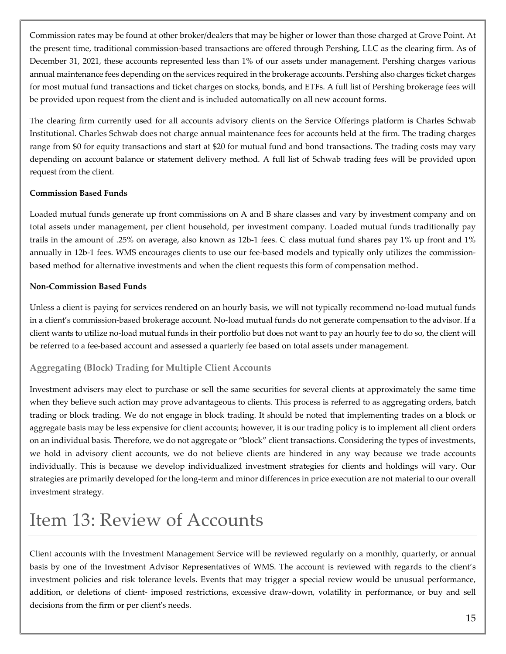Commission rates may be found at other broker/dealers that may be higher or lower than those charged at Grove Point. At the present time, traditional commission-based transactions are offered through Pershing, LLC as the clearing firm. As of December 31, 2021, these accounts represented less than 1% of our assets under management. Pershing charges various annual maintenance fees depending on the services required in the brokerage accounts. Pershing also charges ticket charges for most mutual fund transactions and ticket charges on stocks, bonds, and ETFs. A full list of Pershing brokerage fees will be provided upon request from the client and is included automatically on all new account forms.

The clearing firm currently used for all accounts advisory clients on the Service Offerings platform is Charles Schwab Institutional. Charles Schwab does not charge annual maintenance fees for accounts held at the firm. The trading charges range from \$0 for equity transactions and start at \$20 for mutual fund and bond transactions. The trading costs may vary depending on account balance or statement delivery method. A full list of Schwab trading fees will be provided upon request from the client.

#### **Commission Based Funds**

Loaded mutual funds generate up front commissions on A and B share classes and vary by investment company and on total assets under management, per client household, per investment company. Loaded mutual funds traditionally pay trails in the amount of .25% on average, also known as 12b-1 fees. C class mutual fund shares pay 1% up front and 1% annually in 12b-1 fees. WMS encourages clients to use our fee-based models and typically only utilizes the commissionbased method for alternative investments and when the client requests this form of compensation method.

#### **Non-Commission Based Funds**

Unless a client is paying for services rendered on an hourly basis, we will not typically recommend no-load mutual funds in a client's commission-based brokerage account. No-load mutual funds do not generate compensation to the advisor. If a client wants to utilize no-load mutual funds in their portfolio but does not want to pay an hourly fee to do so, the client will be referred to a fee-based account and assessed a quarterly fee based on total assets under management.

### **Aggregating (Block) Trading for Multiple Client Accounts**

Investment advisers may elect to purchase or sell the same securities for several clients at approximately the same time when they believe such action may prove advantageous to clients. This process is referred to as aggregating orders, batch trading or block trading. We do not engage in block trading. It should be noted that implementing trades on a block or aggregate basis may be less expensive for client accounts; however, it is our trading policy is to implement all client orders on an individual basis. Therefore, we do not aggregate or "block" client transactions. Considering the types of investments, we hold in advisory client accounts, we do not believe clients are hindered in any way because we trade accounts individually. This is because we develop individualized investment strategies for clients and holdings will vary. Our strategies are primarily developed for the long-term and minor differences in price execution are not material to our overall investment strategy.

### <span id="page-14-0"></span>Item 13: Review of Accounts

Client accounts with the Investment Management Service will be reviewed regularly on a monthly, quarterly, or annual basis by one of the Investment Advisor Representatives of WMS. The account is reviewed with regards to the client's investment policies and risk tolerance levels. Events that may trigger a special review would be unusual performance, addition, or deletions of client- imposed restrictions, excessive draw-down, volatility in performance, or buy and sell decisions from the firm or per client's needs.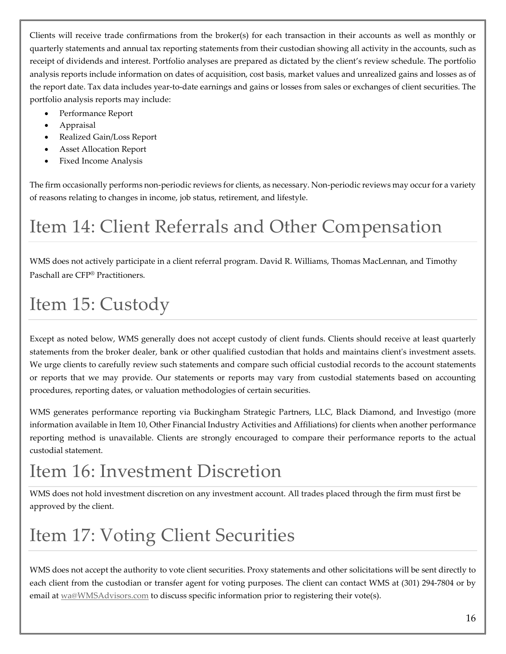Clients will receive trade confirmations from the broker(s) for each transaction in their accounts as well as monthly or quarterly statements and annual tax reporting statements from their custodian showing all activity in the accounts, such as receipt of dividends and interest. Portfolio analyses are prepared as dictated by the client's review schedule. The portfolio analysis reports include information on dates of acquisition, cost basis, market values and unrealized gains and losses as of the report date. Tax data includes year-to-date earnings and gains or losses from sales or exchanges of client securities. The portfolio analysis reports may include:

- Performance Report
- Appraisal
- Realized Gain/Loss Report
- Asset Allocation Report
- Fixed Income Analysis

The firm occasionally performs non-periodic reviews for clients, as necessary. Non-periodic reviews may occur for a variety of reasons relating to changes in income, job status, retirement, and lifestyle.

# <span id="page-15-0"></span>Item 14: Client Referrals and Other Compensation

WMS does not actively participate in a client referral program. David R. Williams, Thomas MacLennan, and Timothy Paschall are CFP® Practitioners.

## <span id="page-15-1"></span>Item 15: Custody

Except as noted below, WMS generally does not accept custody of client funds. Clients should receive at least quarterly statements from the broker dealer, bank or other qualified custodian that holds and maintains client's investment assets. We urge clients to carefully review such statements and compare such official custodial records to the account statements or reports that we may provide. Our statements or reports may vary from custodial statements based on accounting procedures, reporting dates, or valuation methodologies of certain securities.

WMS generates performance reporting via Buckingham Strategic Partners, LLC, Black Diamond, and Investigo (more information available in Item 10, Other Financial Industry Activities and Affiliations) for clients when another performance reporting method is unavailable. Clients are strongly encouraged to compare their performance reports to the actual custodial statement.

# <span id="page-15-2"></span>Item 16: Investment Discretion

WMS does not hold investment discretion on any investment account. All trades placed through the firm must first be approved by the client.

# <span id="page-15-3"></span>Item 17: Voting Client Securities

WMS does not accept the authority to vote client securities. Proxy statements and other solicitations will be sent directly to each client from the custodian or transfer agent for voting purposes. The client can contact WMS at (301) 294-7804 or by email a[t wa@WMSAdvisors.com](mailto:wa@WMSAdvisors.com) to discuss specific information prior to registering their vote(s).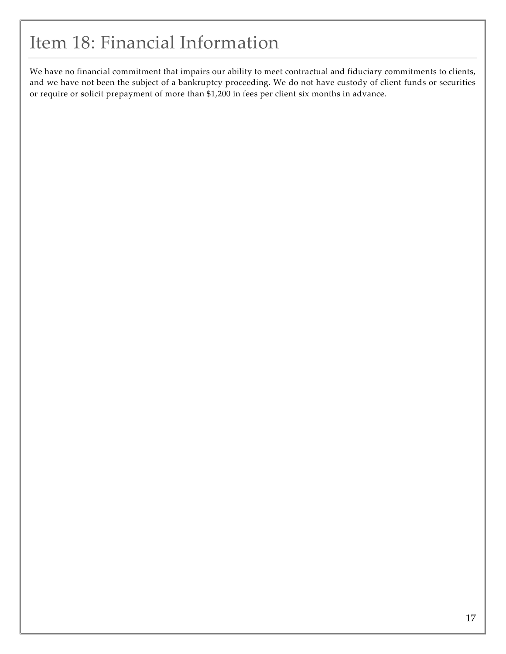### <span id="page-16-0"></span>Item 18: Financial Information

We have no financial commitment that impairs our ability to meet contractual and fiduciary commitments to clients, and we have not been the subject of a bankruptcy proceeding. We do not have custody of client funds or securities or require or solicit prepayment of more than \$1,200 in fees per client six months in advance.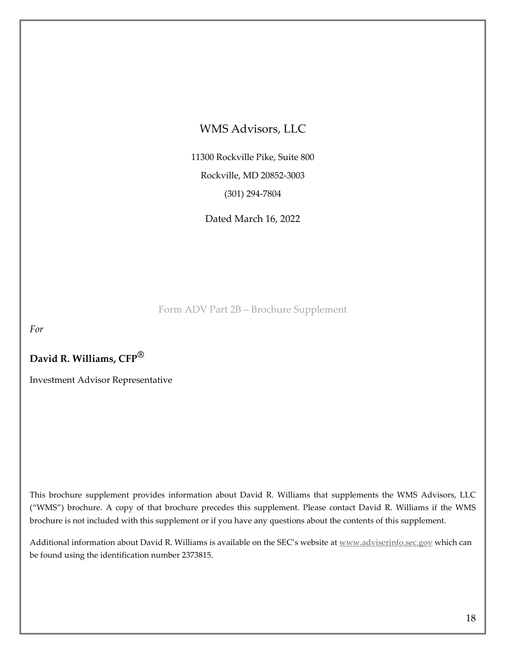### WMS Advisors, LLC

11300 Rockville Pike, Suite 800 Rockville, MD 20852-3003 (301) 294-7804

Dated March 16, 2022

Form ADV Part 2B – Brochure Supplement

<span id="page-17-0"></span>*For*

**David R. Williams, CFP®**

Investment Advisor Representative

This brochure supplement provides information about David R. Williams that supplements the WMS Advisors, LLC ("WMS") brochure. A copy of that brochure precedes this supplement. Please contact David R. Williams if the WMS brochure is not included with this supplement or if you have any questions about the contents of this supplement.

Additional information about David R. Williams is available on the SEC's website a[t www.adviserinfo.sec.gov](http://www.adviserinfo.sec.gov/) which can be found using the identification number 2373815.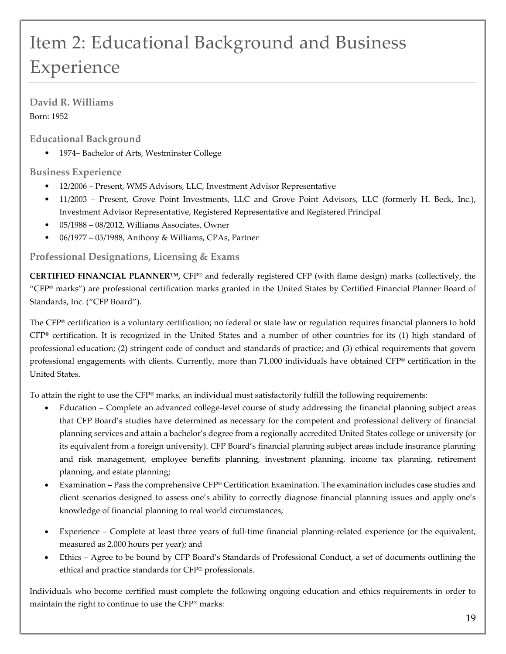# Item 2: Educational Background and Business Experience

**David R. Williams** Born: 1952

**Educational Background**

• 1974– Bachelor of Arts, Westminster College

### **Business Experience**

- 12/2006 Present, WMS Advisors, LLC, Investment Advisor Representative
- 11/2003 Present, Grove Point Investments, LLC and Grove Point Advisors, LLC (formerly H. Beck, Inc.), Investment Advisor Representative, Registered Representative and Registered Principal
- 05/1988 08/2012, Williams Associates, Owner
- 06/1977 05/1988, Anthony & Williams, CPAs, Partner

### **Professional Designations, Licensing & Exams**

**CERTIFIED FINANCIAL PLANNER™,** CFP® and federally registered CFP (with flame design) marks (collectively, the "CFP® marks") are professional certification marks granted in the United States by Certified Financial Planner Board of Standards, Inc. ("CFP Board").

The CFP® certification is a voluntary certification; no federal or state law or regulation requires financial planners to hold CFP® certification. It is recognized in the United States and a number of other countries for its (1) high standard of professional education; (2) stringent code of conduct and standards of practice; and (3) ethical requirements that govern professional engagements with clients. Currently, more than 71,000 individuals have obtained CFP® certification in the United States.

To attain the right to use the CFP® marks, an individual must satisfactorily fulfill the following requirements:

- Education Complete an advanced college-level course of study addressing the financial planning subject areas that CFP Board's studies have determined as necessary for the competent and professional delivery of financial planning services and attain a bachelor's degree from a regionally accredited United States college or university (or its equivalent from a foreign university). CFP Board's financial planning subject areas include insurance planning and risk management, employee benefits planning, investment planning, income tax planning, retirement planning, and estate planning;
- Examination Pass the comprehensive CFP® Certification Examination. The examination includes case studies and client scenarios designed to assess one's ability to correctly diagnose financial planning issues and apply one's knowledge of financial planning to real world circumstances;
- Experience Complete at least three years of full-time financial planning-related experience (or the equivalent, measured as 2,000 hours per year); and
- Ethics Agree to be bound by CFP Board's Standards of Professional Conduct, a set of documents outlining the ethical and practice standards for CFP® professionals.

Individuals who become certified must complete the following ongoing education and ethics requirements in order to maintain the right to continue to use the CFP® marks: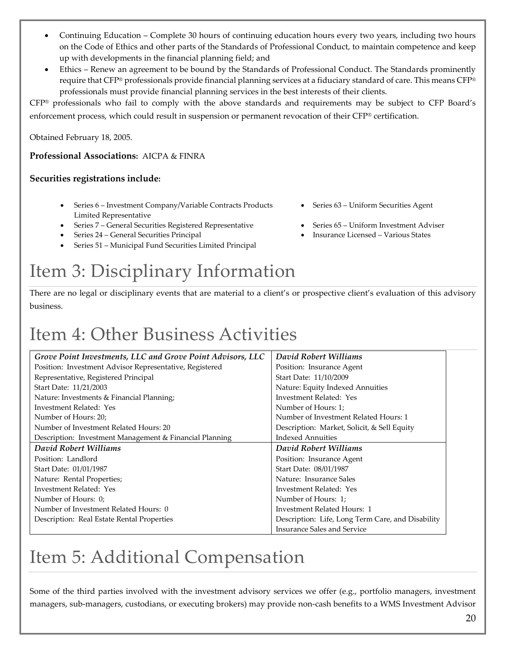- Continuing Education Complete 30 hours of continuing education hours every two years, including two hours on the Code of Ethics and other parts of the Standards of Professional Conduct, to maintain competence and keep up with developments in the financial planning field; and
- Ethics Renew an agreement to be bound by the Standards of Professional Conduct. The Standards prominently require that CFP® professionals provide financial planning services at a fiduciary standard of care. This means CFP® professionals must provide financial planning services in the best interests of their clients.

CFP® professionals who fail to comply with the above standards and requirements may be subject to CFP Board's enforcement process, which could result in suspension or permanent revocation of their CFP® certification.

Obtained February 18, 2005.

#### **Professional Associations:** AICPA & FINRA

#### **Securities registrations include:**

- Series 6 Investment Company/Variable Contracts Products Limited Representative
- Series 7 General Securities Registered Representative Series 65 Uniform Investment Adviser
- Series 24 General Securities Principal Insurance Licensed Various States
- Series 51 Municipal Fund Securities Limited Principal

## Item 3: Disciplinary Information

There are no legal or disciplinary events that are material to a client's or prospective client's evaluation of this advisory business.

### Item 4: Other Business Activities

| Grove Point Investments, LLC and Grove Point Advisors, LLC | David Robert Williams                             |
|------------------------------------------------------------|---------------------------------------------------|
| Position: Investment Advisor Representative, Registered    | Position: Insurance Agent                         |
| Representative, Registered Principal                       | Start Date: 11/10/2009                            |
| Start Date: 11/21/2003                                     | Nature: Equity Indexed Annuities                  |
| Nature: Investments & Financial Planning;                  | Investment Related: Yes                           |
| Investment Related: Yes                                    | Number of Hours: 1;                               |
| Number of Hours: 20;                                       | Number of Investment Related Hours: 1             |
| Number of Investment Related Hours: 20                     | Description: Market, Solicit, & Sell Equity       |
| Description: Investment Management & Financial Planning    | <b>Indexed Annuities</b>                          |
| David Robert Williams                                      | David Robert Williams                             |
| Position: Landlord                                         | Position: Insurance Agent                         |
| Start Date: 01/01/1987                                     | Start Date: 08/01/1987                            |
| Nature: Rental Properties;                                 | Nature: Insurance Sales                           |
| Investment Related: Yes                                    | Investment Related: Yes                           |
| Number of Hours: 0;                                        | Number of Hours: 1;                               |
| Number of Investment Related Hours: 0                      | Investment Related Hours: 1                       |
| Description: Real Estate Rental Properties                 | Description: Life, Long Term Care, and Disability |
|                                                            | <b>Insurance Sales and Service</b>                |

### Item 5: Additional Compensation

Some of the third parties involved with the investment advisory services we offer (e.g., portfolio managers, investment managers, sub-managers, custodians, or executing brokers) may provide non-cash benefits to a WMS Investment Advisor

- Series 63 Uniform Securities Agent
	-
	-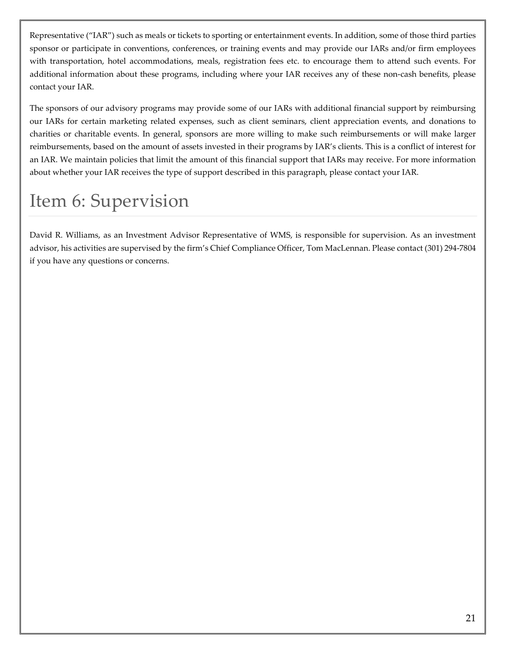Representative ("IAR") such as meals or tickets to sporting or entertainment events. In addition, some of those third parties sponsor or participate in conventions, conferences, or training events and may provide our IARs and/or firm employees with transportation, hotel accommodations, meals, registration fees etc. to encourage them to attend such events. For additional information about these programs, including where your IAR receives any of these non-cash benefits, please contact your IAR.

The sponsors of our advisory programs may provide some of our IARs with additional financial support by reimbursing our IARs for certain marketing related expenses, such as client seminars, client appreciation events, and donations to charities or charitable events. In general, sponsors are more willing to make such reimbursements or will make larger reimbursements, based on the amount of assets invested in their programs by IAR's clients. This is a conflict of interest for an IAR. We maintain policies that limit the amount of this financial support that IARs may receive. For more information about whether your IAR receives the type of support described in this paragraph, please contact your IAR.

### Item 6: Supervision

David R. Williams, as an Investment Advisor Representative of WMS, is responsible for supervision. As an investment advisor, his activities are supervised by the firm's Chief Compliance Officer, Tom MacLennan. Please contact (301) 294-7804 if you have any questions or concerns.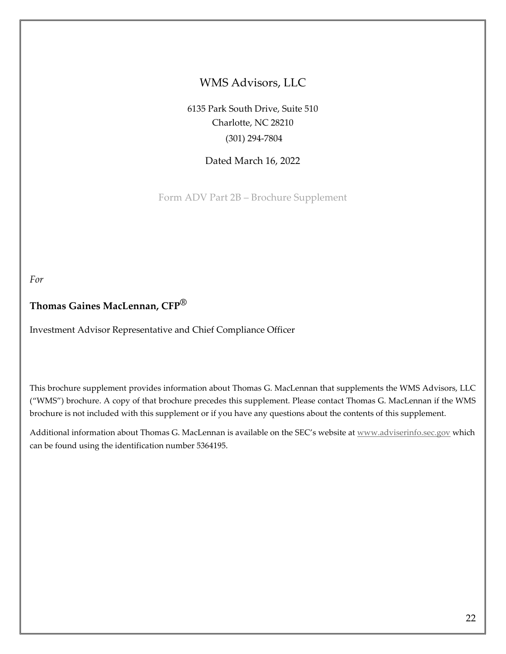### WMS Advisors, LLC

6135 Park South Drive, Suite 510 Charlotte, NC 28210 (301) 294-7804

Dated March 16, 2022

Form ADV Part 2B – Brochure Supplement

*For*

### **Thomas Gaines MacLennan, CFP®**

Investment Advisor Representative and Chief Compliance Officer

This brochure supplement provides information about Thomas G. MacLennan that supplements the WMS Advisors, LLC ("WMS") brochure. A copy of that brochure precedes this supplement. Please contact Thomas G. MacLennan if the WMS brochure is not included with this supplement or if you have any questions about the contents of this supplement.

Additional information about Thomas G. MacLennan is available on the SEC's website at [www.adviserinfo.sec.gov](http://www.adviserinfo.sec.gov/) which can be found using the identification number 5364195.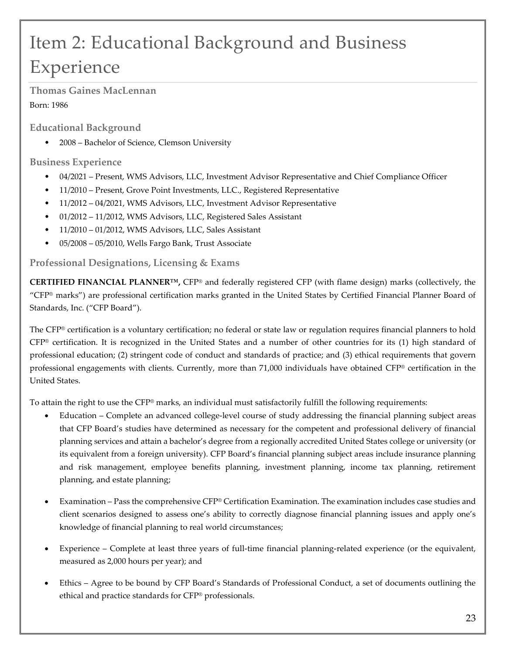# Item 2: Educational Background and Business Experience

**Thomas Gaines MacLennan** Born: 1986

**Educational Background**

• 2008 – Bachelor of Science, Clemson University

### **Business Experience**

- 04/2021 Present, WMS Advisors, LLC, Investment Advisor Representative and Chief Compliance Officer
- 11/2010 Present, Grove Point Investments, LLC., Registered Representative
- 11/2012 04/2021, WMS Advisors, LLC, Investment Advisor Representative
- 01/2012 11/2012, WMS Advisors, LLC, Registered Sales Assistant
- 11/2010 01/2012, WMS Advisors, LLC, Sales Assistant
- 05/2008 05/2010, Wells Fargo Bank, Trust Associate

### **Professional Designations, Licensing & Exams**

**CERTIFIED FINANCIAL PLANNER™,** CFP® and federally registered CFP (with flame design) marks (collectively, the "CFP® marks") are professional certification marks granted in the United States by Certified Financial Planner Board of Standards, Inc. ("CFP Board").

The CFP® certification is a voluntary certification; no federal or state law or regulation requires financial planners to hold  $CFP<sup>®</sup>$  certification. It is recognized in the United States and a number of other countries for its (1) high standard of professional education; (2) stringent code of conduct and standards of practice; and (3) ethical requirements that govern professional engagements with clients. Currently, more than 71,000 individuals have obtained CFP® certification in the United States.

To attain the right to use the CFP® marks, an individual must satisfactorily fulfill the following requirements:

- Education Complete an advanced college-level course of study addressing the financial planning subject areas that CFP Board's studies have determined as necessary for the competent and professional delivery of financial planning services and attain a bachelor's degree from a regionally accredited United States college or university (or its equivalent from a foreign university). CFP Board's financial planning subject areas include insurance planning and risk management, employee benefits planning, investment planning, income tax planning, retirement planning, and estate planning;
- Examination Pass the comprehensive CFP® Certification Examination. The examination includes case studies and client scenarios designed to assess one's ability to correctly diagnose financial planning issues and apply one's knowledge of financial planning to real world circumstances;
- Experience Complete at least three years of full-time financial planning-related experience (or the equivalent, measured as 2,000 hours per year); and
- Ethics Agree to be bound by CFP Board's Standards of Professional Conduct, a set of documents outlining the ethical and practice standards for CFP® professionals.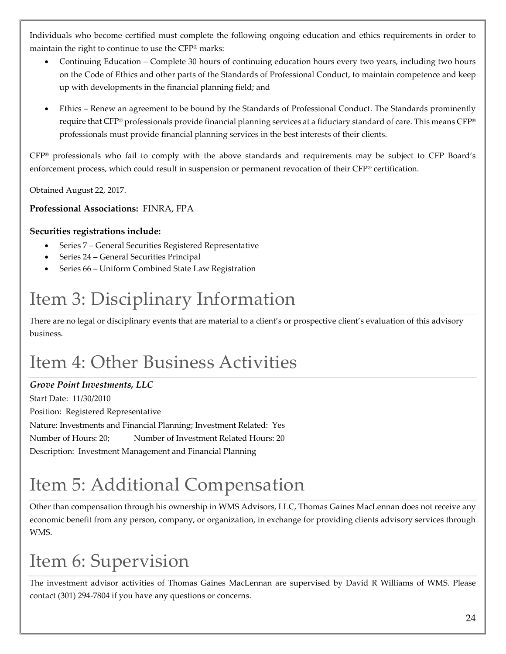Individuals who become certified must complete the following ongoing education and ethics requirements in order to maintain the right to continue to use the CFP® marks:

- Continuing Education Complete 30 hours of continuing education hours every two years, including two hours on the Code of Ethics and other parts of the Standards of Professional Conduct, to maintain competence and keep up with developments in the financial planning field; and
- Ethics Renew an agreement to be bound by the Standards of Professional Conduct. The Standards prominently require that CFP® professionals provide financial planning services at a fiduciary standard of care. This means CFP® professionals must provide financial planning services in the best interests of their clients.

CFP® professionals who fail to comply with the above standards and requirements may be subject to CFP Board's enforcement process, which could result in suspension or permanent revocation of their CFP® certification.

Obtained August 22, 2017.

### **Professional Associations:** FINRA, FPA

### **Securities registrations include:**

- Series 7 General Securities Registered Representative
- Series 24 General Securities Principal
- Series 66 Uniform Combined State Law Registration

# Item 3: Disciplinary Information

There are no legal or disciplinary events that are material to a client's or prospective client's evaluation of this advisory business.

# Item 4: Other Business Activities

### *Grove Point Investments, LLC*

Start Date: 11/30/2010 Position: Registered Representative Nature: Investments and Financial Planning; Investment Related: Yes Number of Hours: 20; Number of Investment Related Hours: 20 Description: Investment Management and Financial Planning

# Item 5: Additional Compensation

Other than compensation through his ownership in WMS Advisors, LLC, Thomas Gaines MacLennan does not receive any economic benefit from any person, company, or organization, in exchange for providing clients advisory services through WMS.

# Item 6: Supervision

The investment advisor activities of Thomas Gaines MacLennan are supervised by David R Williams of WMS. Please contact (301) 294-7804 if you have any questions or concerns.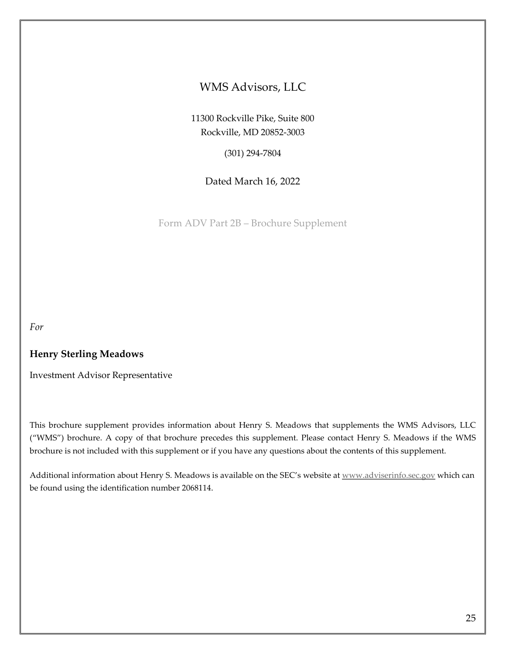### WMS Advisors, LLC

11300 Rockville Pike, Suite 800 Rockville, MD 20852-3003

(301) 294-7804

Dated March 16, 2022

Form ADV Part 2B – Brochure Supplement

*For*

### **Henry Sterling Meadows**

Investment Advisor Representative

This brochure supplement provides information about Henry S. Meadows that supplements the WMS Advisors, LLC ("WMS") brochure. A copy of that brochure precedes this supplement. Please contact Henry S. Meadows if the WMS brochure is not included with this supplement or if you have any questions about the contents of this supplement.

Additional information about Henry S. Meadows is available on the SEC's website at [www.adviserinfo.sec.gov](http://www.adviserinfo.sec.gov/) which can be found using the identification number 2068114.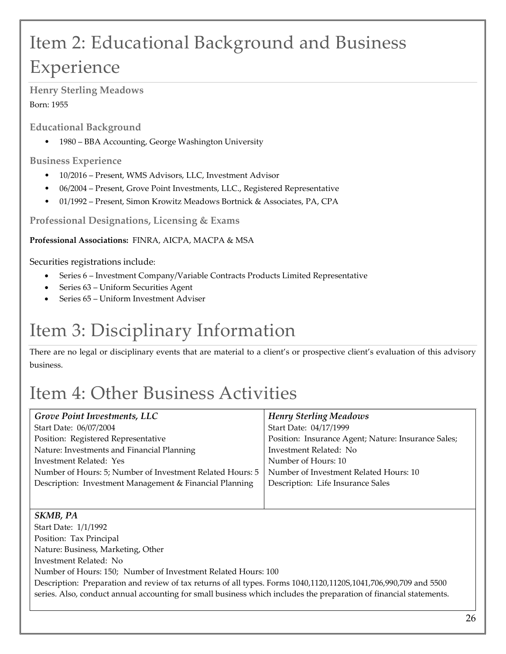# Item 2: Educational Background and Business Experience

**Henry Sterling Meadows** Born: 1955

**Educational Background**

• 1980 – BBA Accounting, George Washington University

**Business Experience** 

- 10/2016 Present, WMS Advisors, LLC, Investment Advisor
- 06/2004 Present, Grove Point Investments, LLC., Registered Representative
- 01/1992 Present, Simon Krowitz Meadows Bortnick & Associates, PA, CPA

**Professional Designations, Licensing & Exams**

**Professional Associations:** FINRA, AICPA, MACPA & MSA

Securities registrations include:

- Series 6 Investment Company/Variable Contracts Products Limited Representative
- Series 63 Uniform Securities Agent
- Series 65 Uniform Investment Adviser

# Item 3: Disciplinary Information

There are no legal or disciplinary events that are material to a client's or prospective client's evaluation of this advisory business.

# Item 4: Other Business Activities

| Grove Point Investments, LLC                              | <b>Henry Sterling Meadows</b>                       |
|-----------------------------------------------------------|-----------------------------------------------------|
| Start Date: 06/07/2004                                    | Start Date: 04/17/1999                              |
| Position: Registered Representative                       | Position: Insurance Agent; Nature: Insurance Sales; |
| Nature: Investments and Financial Planning                | Investment Related: No                              |
| Investment Related: Yes                                   | Number of Hours: 10                                 |
| Number of Hours: 5; Number of Investment Related Hours: 5 | Number of Investment Related Hours: 10              |
| Description: Investment Management & Financial Planning   | Description: Life Insurance Sales                   |
|                                                           |                                                     |
|                                                           |                                                     |
| SKMB, PA                                                  |                                                     |
| Start Date: 1/1/1992                                      |                                                     |
| Position: Tax Principal                                   |                                                     |
| Nature: Business, Marketing, Other                        |                                                     |
| $\mathbf{L}$ $\mathbf{D}$ . 1 1 $\mathbf{M}$ .            |                                                     |

Investment Related: No

Number of Hours: 150; Number of Investment Related Hours: 100

Description: Preparation and review of tax returns of all types. Forms 1040,1120,1120S,1041,706,990,709 and 5500 series. Also, conduct annual accounting for small business which includes the preparation of financial statements.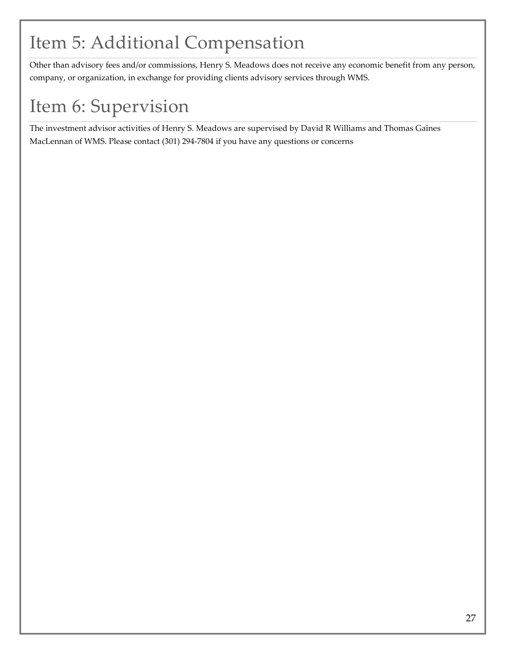## Item 5: Additional Compensation

Other than advisory fees and/or commissions, Henry S. Meadows does not receive any economic benefit from any person, company, or organization, in exchange for providing clients advisory services through WMS.

# Item 6: Supervision

The investment advisor activities of Henry S. Meadows are supervised by David R Williams and Thomas Gaines MacLennan of WMS. Please contact (301) 294-7804 if you have any questions or concerns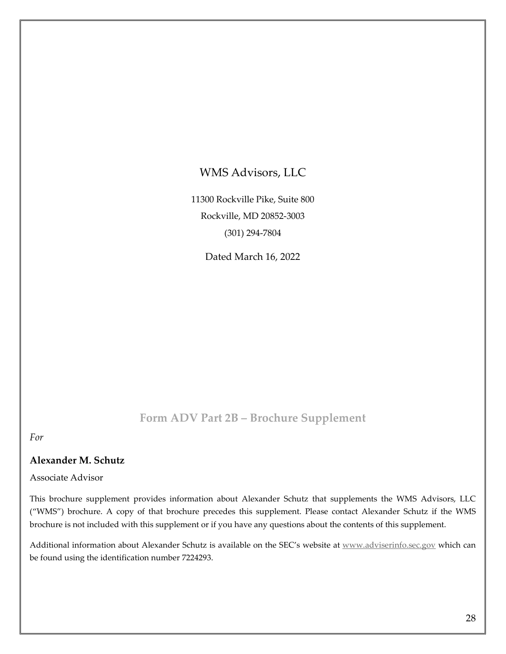### WMS Advisors, LLC

11300 Rockville Pike, Suite 800 Rockville, MD 20852-3003 (301) 294-7804

Dated March 16, 2022

### **Form ADV Part 2B – Brochure Supplement**

*For*

### **Alexander M. Schutz**

### Associate Advisor

This brochure supplement provides information about Alexander Schutz that supplements the WMS Advisors, LLC ("WMS") brochure. A copy of that brochure precedes this supplement. Please contact Alexander Schutz if the WMS brochure is not included with this supplement or if you have any questions about the contents of this supplement.

Additional information about Alexander Schutz is available on the SEC's website at [www.adviserinfo.sec.gov](http://www.adviserinfo.sec.gov/) which can be found using the identification number 7224293.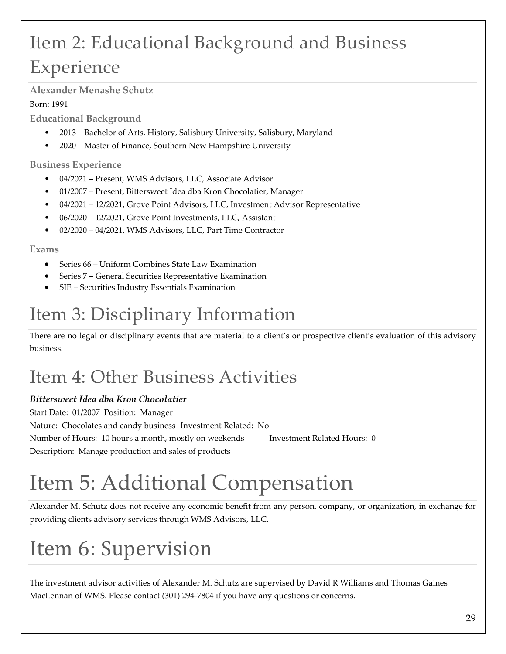# Item 2: Educational Background and Business Experience

### **Alexander Menashe Schutz**

### Born: 1991

**Educational Background**

- 2013 Bachelor of Arts, History, Salisbury University, Salisbury, Maryland
- 2020 Master of Finance, Southern New Hampshire University

### **Business Experience**

- 04/2021 Present, WMS Advisors, LLC, Associate Advisor
- 01/2007 Present, Bittersweet Idea dba Kron Chocolatier, Manager
- 04/2021 12/2021, Grove Point Advisors, LLC, Investment Advisor Representative
- 06/2020 12/2021, Grove Point Investments, LLC, Assistant
- 02/2020 04/2021, WMS Advisors, LLC, Part Time Contractor

### **Exams**

- Series 66 Uniform Combines State Law Examination
- Series 7 General Securities Representative Examination
- SIE Securities Industry Essentials Examination

# Item 3: Disciplinary Information

There are no legal or disciplinary events that are material to a client's or prospective client's evaluation of this advisory business.

# Item 4: Other Business Activities

### *Bittersweet Idea dba Kron Chocolatier*

Start Date: 01/2007 Position: Manager Nature: Chocolates and candy business Investment Related: No Number of Hours: 10 hours a month, mostly on weekends Investment Related Hours: 0 Description: Manage production and sales of products

# Item 5: Additional Compensation

Alexander M. Schutz does not receive any economic benefit from any person, company, or organization, in exchange for providing clients advisory services through WMS Advisors, LLC.

# Item 6: Supervision

The investment advisor activities of Alexander M. Schutz are supervised by David R Williams and Thomas Gaines MacLennan of WMS. Please contact (301) 294-7804 if you have any questions or concerns.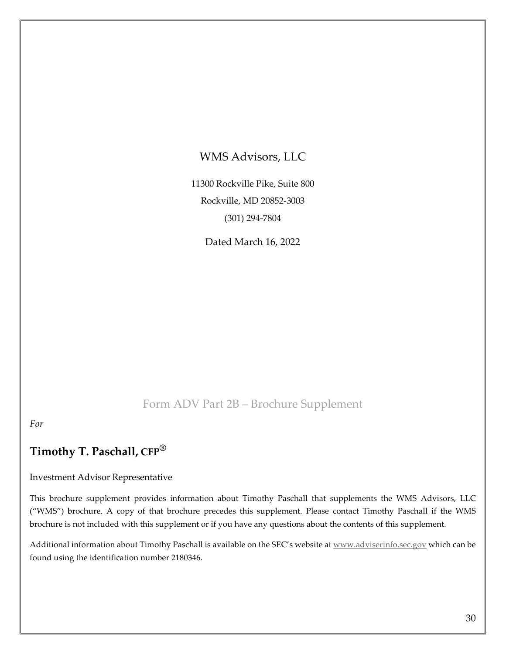### WMS Advisors, LLC

11300 Rockville Pike, Suite 800 Rockville, MD 20852-3003 (301) 294-7804

Dated March 16, 2022

### Form ADV Part 2B – Brochure Supplement

*For*

### **Timothy T. Paschall, CFP®**

#### Investment Advisor Representative

This brochure supplement provides information about Timothy Paschall that supplements the WMS Advisors, LLC ("WMS") brochure. A copy of that brochure precedes this supplement. Please contact Timothy Paschall if the WMS brochure is not included with this supplement or if you have any questions about the contents of this supplement.

Additional information about Timothy Paschall is available on the SEC's website a[t www.adviserinfo.sec.gov](http://www.adviserinfo.sec.gov/) which can be found using the identification number 2180346.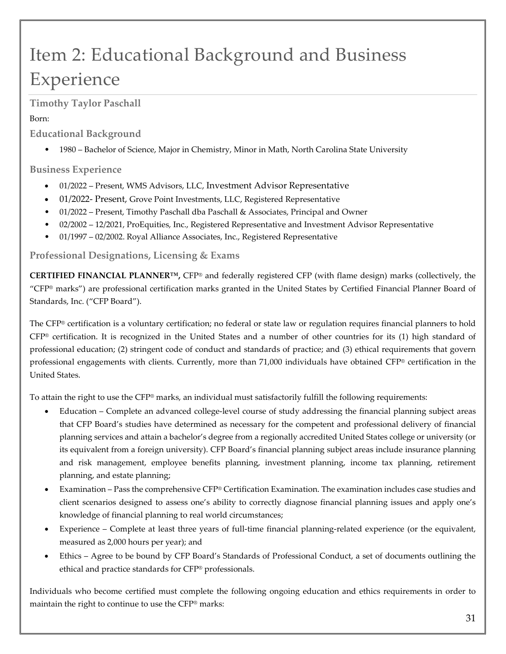# Item 2: Educational Background and Business Experience

**Timothy Taylor Paschall** 

### Born:

**Educational Background**

• 1980 – Bachelor of Science, Major in Chemistry, Minor in Math, North Carolina State University

### **Business Experience**

- 01/2022 Present, WMS Advisors, LLC, Investment Advisor Representative
- 01/2022- Present, Grove Point Investments, LLC, Registered Representative
- 01/2022 Present, Timothy Paschall dba Paschall & Associates, Principal and Owner
- 02/2002 12/2021, ProEquities, Inc., Registered Representative and Investment Advisor Representative
- 01/1997 02/2002. Royal Alliance Associates, Inc., Registered Representative

### **Professional Designations, Licensing & Exams**

**CERTIFIED FINANCIAL PLANNER™,** CFP® and federally registered CFP (with flame design) marks (collectively, the "CFP® marks") are professional certification marks granted in the United States by Certified Financial Planner Board of Standards, Inc. ("CFP Board").

The CFP® certification is a voluntary certification; no federal or state law or regulation requires financial planners to hold CFP® certification. It is recognized in the United States and a number of other countries for its (1) high standard of professional education; (2) stringent code of conduct and standards of practice; and (3) ethical requirements that govern professional engagements with clients. Currently, more than 71,000 individuals have obtained CFP® certification in the United States.

To attain the right to use the CFP® marks, an individual must satisfactorily fulfill the following requirements:

- Education Complete an advanced college-level course of study addressing the financial planning subject areas that CFP Board's studies have determined as necessary for the competent and professional delivery of financial planning services and attain a bachelor's degree from a regionally accredited United States college or university (or its equivalent from a foreign university). CFP Board's financial planning subject areas include insurance planning and risk management, employee benefits planning, investment planning, income tax planning, retirement planning, and estate planning;
- Examination Pass the comprehensive CFP® Certification Examination. The examination includes case studies and client scenarios designed to assess one's ability to correctly diagnose financial planning issues and apply one's knowledge of financial planning to real world circumstances;
- Experience Complete at least three years of full-time financial planning-related experience (or the equivalent, measured as 2,000 hours per year); and
- Ethics Agree to be bound by CFP Board's Standards of Professional Conduct, a set of documents outlining the ethical and practice standards for CFP® professionals.

Individuals who become certified must complete the following ongoing education and ethics requirements in order to maintain the right to continue to use the CFP® marks: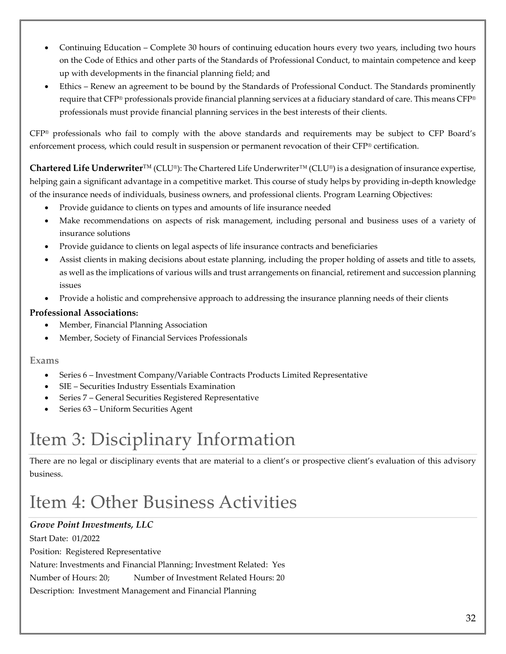- Continuing Education Complete 30 hours of continuing education hours every two years, including two hours on the Code of Ethics and other parts of the Standards of Professional Conduct, to maintain competence and keep up with developments in the financial planning field; and
- Ethics Renew an agreement to be bound by the Standards of Professional Conduct. The Standards prominently require that CFP® professionals provide financial planning services at a fiduciary standard of care. This means CFP® professionals must provide financial planning services in the best interests of their clients.

CFP® professionals who fail to comply with the above standards and requirements may be subject to CFP Board's enforcement process, which could result in suspension or permanent revocation of their CFP® certification.

**Chartered Life Underwriter**™ (CLU®): The Chartered Life Underwriter™ (CLU®) is a designation of insurance expertise, helping gain a significant advantage in a competitive market. This course of study helps by providing in-depth knowledge of the insurance needs of individuals, business owners, and professional clients. Program Learning Objectives:

- Provide guidance to clients on types and amounts of life insurance needed
- Make recommendations on aspects of risk management, including personal and business uses of a variety of insurance solutions
- Provide guidance to clients on legal aspects of life insurance contracts and beneficiaries
- Assist clients in making decisions about estate planning, including the proper holding of assets and title to assets, as well as the implications of various wills and trust arrangements on financial, retirement and succession planning issues
- Provide a holistic and comprehensive approach to addressing the insurance planning needs of their clients

#### **Professional Associations:**

- Member, Financial Planning Association
- Member, Society of Financial Services Professionals

#### **Exams**

- Series 6 Investment Company/Variable Contracts Products Limited Representative
- SIE Securities Industry Essentials Examination
- Series 7 General Securities Registered Representative
- Series 63 Uniform Securities Agent

### Item 3: Disciplinary Information

There are no legal or disciplinary events that are material to a client's or prospective client's evaluation of this advisory business.

### Item 4: Other Business Activities

### *Grove Point Investments, LLC* Start Date: 01/2022 Position: Registered Representative Nature: Investments and Financial Planning; Investment Related: Yes Number of Hours: 20; Number of Investment Related Hours: 20 Description: Investment Management and Financial Planning